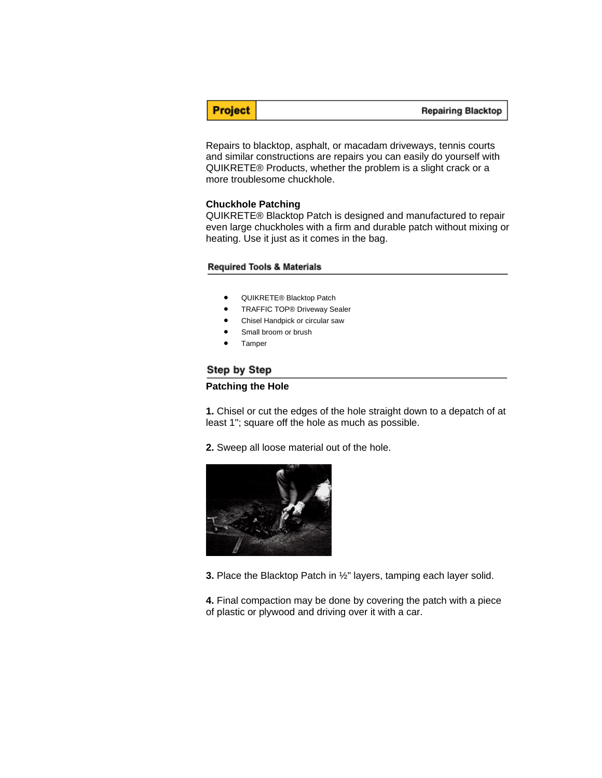**Project** 

#### **Repairing Blacktop**

Repairs to blacktop, asphalt, or macadam driveways, tennis courts and similar constructions are repairs you can easily do yourself with QUIKRETE® Products, whether the problem is a slight crack or a more troublesome chuckhole.

### **Chuckhole Patching**

QUIKRETE® Blacktop Patch is designed and manufactured to repair even large chuckholes with a firm and durable patch without mixing or heating. Use it just as it comes in the bag.

### **Required Tools & Materials**

- QUIKRETE® Blacktop Patch
- TRAFFIC TOP® Driveway Sealer
- Chisel Handpick or circular saw
- Small broom or brush
- **Tamper**

## Step by Step

### **Patching the Hole**

**1.** Chisel or cut the edges of the hole straight down to a depatch of at least 1"; square off the hole as much as possible.

**2.** Sweep all loose material out of the hole.



**3.** Place the Blacktop Patch in ½" layers, tamping each layer solid.

**4.** Final compaction may be done by covering the patch with a piece of plastic or plywood and driving over it with a car.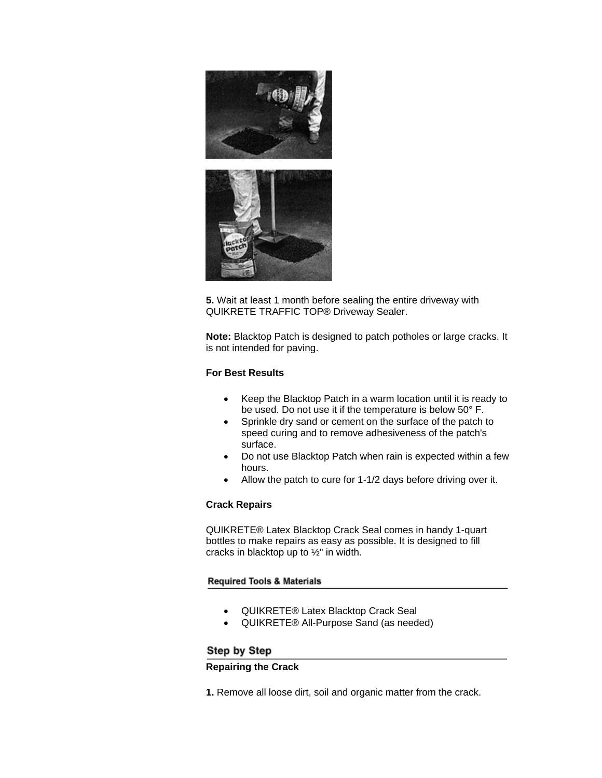

**5.** Wait at least 1 month before sealing the entire driveway with QUIKRETE TRAFFIC TOP® Driveway Sealer.

**Note:** Blacktop Patch is designed to patch potholes or large cracks. It is not intended for paving.

# **For Best Results**

- Keep the Blacktop Patch in a warm location until it is ready to be used. Do not use it if the temperature is below 50° F.
- Sprinkle dry sand or cement on the surface of the patch to speed curing and to remove adhesiveness of the patch's surface.
- Do not use Blacktop Patch when rain is expected within a few hours.
- Allow the patch to cure for 1-1/2 days before driving over it.

# **Crack Repairs**

QUIKRETE® Latex Blacktop Crack Seal comes in handy 1-quart bottles to make repairs as easy as possible. It is designed to fill cracks in blacktop up to ½" in width.

### **Required Tools & Materials**

- QUIKRETE® Latex Blacktop Crack Seal
- QUIKRETE® All-Purpose Sand (as needed)

# Step by Step

### **Repairing the Crack**

**1.** Remove all loose dirt, soil and organic matter from the crack.